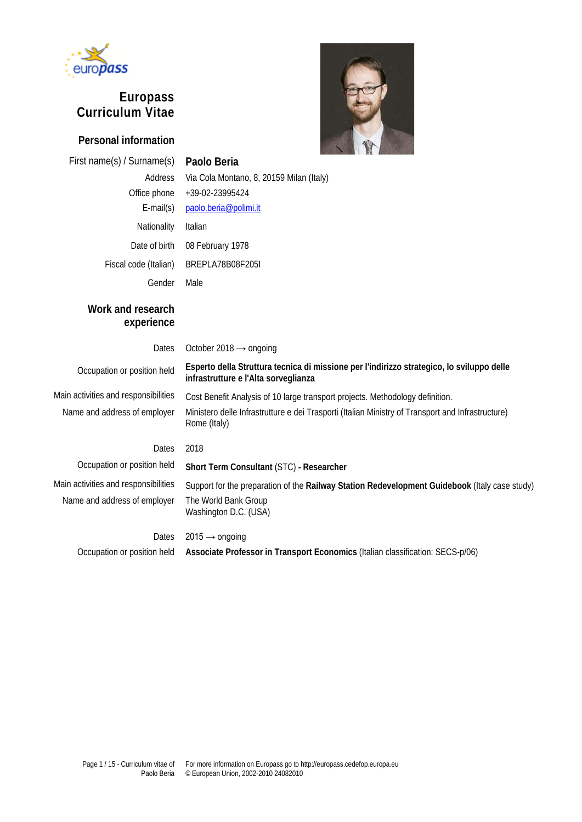

# **Europass Curriculum Vitae**

### **Personal information**



First name(s) / Surname(s) **Paolo Beria**  Address Via Cola Montano, 8, 20159 Milan (Italy) Office phone +39-02-23995424 E-mail(s) [paolo.beria@polimi.it](mailto:paolo.beria@polimi.it) Nationality Italian Date of birth 08 February 1978 Fiscal code (Italian) BREPLA78B08F205I Gender Male

# **Work and research experience**

Dates October 2018  $\rightarrow$  ongoing

**infrastrutture e l'Alta sorveglianza**

Main activities and responsibilities Cost Benefit Analysis of 10 large transport projects. Methodology definition. Name and address of employer Ministero delle Infrastrutture e dei Trasporti (Italian Ministry of Transport and Infrastructure)

#### Dates 2018

Rome (Italy)

Occupation or position held **Short Term Consultant** (STC) **- Researcher** Main activities and responsibilities Support for the preparation of the **Railway Station Redevelopment Guidebook** (Italy case study) Name and address of employer The World Bank Group Washington D.C. (USA)

Occupation or position held **Esperto della Struttura tecnica di missione per l'indirizzo strategico, lo sviluppo delle** 

Dates  $2015 \rightarrow$  ongoing Occupation or position held **Associate Professor in Transport Economics** (Italian classification: SECS-p/06)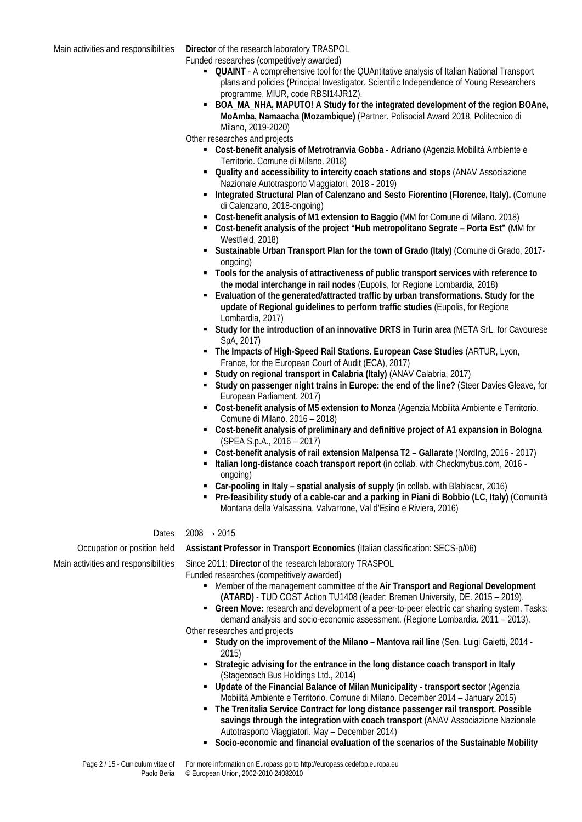Main activities and responsibilities **Director** of the research laboratory TRASPOL

Funded researches (competitively awarded)

- **DUAINT** A comprehensive tool for the QUAntitative analysis of Italian National Transport plans and policies (Principal Investigator. Scientific Independence of Young Researchers programme, MIUR, code RBSI14JR1Z).
- **BOA\_MA\_NHA, MAPUTO! A Study for the integrated development of the region BOAne, MoAmba, Namaacha (Mozambique)** (Partner. Polisocial Award 2018, Politecnico di Milano, 2019-2020)

Other researches and projects

- **Cost-benefit analysis of Metrotranvia Gobba - Adriano** (Agenzia Mobilità Ambiente e Territorio. Comune di Milano. 2018)
	- **Quality and accessibility to intercity coach stations and stops** (ANAV Associazione Nazionale Autotrasporto Viaggiatori. 2018 - 2019)
- **Integrated Structural Plan of Calenzano and Sesto Fiorentino (Florence, Italy).** (Comune di Calenzano, 2018-ongoing)
- **Cost-benefit analysis of M1 extension to Baggio** (MM for Comune di Milano. 2018)
- **Cost-benefit analysis of the project "Hub metropolitano Segrate – Porta Est"** (MM for Westfield, 2018)
- **Sustainable Urban Transport Plan for the town of Grado (Italy)** (Comune di Grado, 2017 ongoing)
- **Tools for the analysis of attractiveness of public transport services with reference to the modal interchange in rail nodes** (Eupolis, for Regione Lombardia, 2018)
- **Evaluation of the generated/attracted traffic by urban transformations. Study for the update of Regional guidelines to perform traffic studies** (Eupolis, for Regione Lombardia, 2017)
- **Study for the introduction of an innovative DRTS in Turin area** (META SrL, for Cavourese SpA, 2017)
- **The Impacts of High-Speed Rail Stations. European Case Studies** (ARTUR, Lyon, France, for the European Court of Audit (ECA), 2017)
- **Study on regional transport in Calabria (Italy)** (ANAV Calabria, 2017)
- **Study on passenger night trains in Europe: the end of the line?** (Steer Davies Gleave, for European Parliament. 2017)
- **Cost-benefit analysis of M5 extension to Monza** (Agenzia Mobilità Ambiente e Territorio. Comune di Milano. 2016 – 2018)
- **Cost-benefit analysis of preliminary and definitive project of A1 expansion in Bologna**  (SPEA S.p.A., 2016 – 2017)
- **Cost-benefit analysis of rail extension Malpensa T2 – Gallarate** (NordIng, 2016 2017)
- **Italian long-distance coach transport report** (in collab. with Checkmybus.com, 2016 ongoing)
- **Car-pooling in Italy – spatial analysis of supply** (in collab. with Blablacar, 2016)
- **Pre-feasibility study of a cable-car and a parking in Piani di Bobbio (LC, Italy)** (Comunità Montana della Valsassina, Valvarrone, Val d'Esino e Riviera, 2016)

#### Dates  $2008 \rightarrow 2015$

Occupation or position held **Assistant Professor in Transport Economics** (Italian classification: SECS-p/06)

Main activities and responsibilities Since 2011: Director of the research laboratory TRASPOL

Funded researches (competitively awarded)

- Member of the management committee of the **Air Transport and Regional Development (ATARD)** - TUD COST Action TU1408 (leader: Bremen University, DE. 2015 – 2019).
- **Green Move:** research and development of a peer-to-peer electric car sharing system. Tasks: demand analysis and socio-economic assessment. (Regione Lombardia. 2011 – 2013).

Other researches and projects

- **Study on the improvement of the Milano Mantova rail line (Sen. Luigi Gaietti, 2014 -**2015)
- **Strategic advising for the entrance in the long distance coach transport in Italy** (Stagecoach Bus Holdings Ltd., 2014)
- **Update of the Financial Balance of Milan Municipality - transport sector** (Agenzia Mobilità Ambiente e Territorio. Comune di Milano. December 2014 – January 2015)
- **The Trenitalia Service Contract for long distance passenger rail transport. Possible savings through the integration with coach transport** (ANAV Associazione Nazionale Autotrasporto Viaggiatori. May – December 2014)
- **Socio-economic and financial evaluation of the scenarios of the Sustainable Mobility**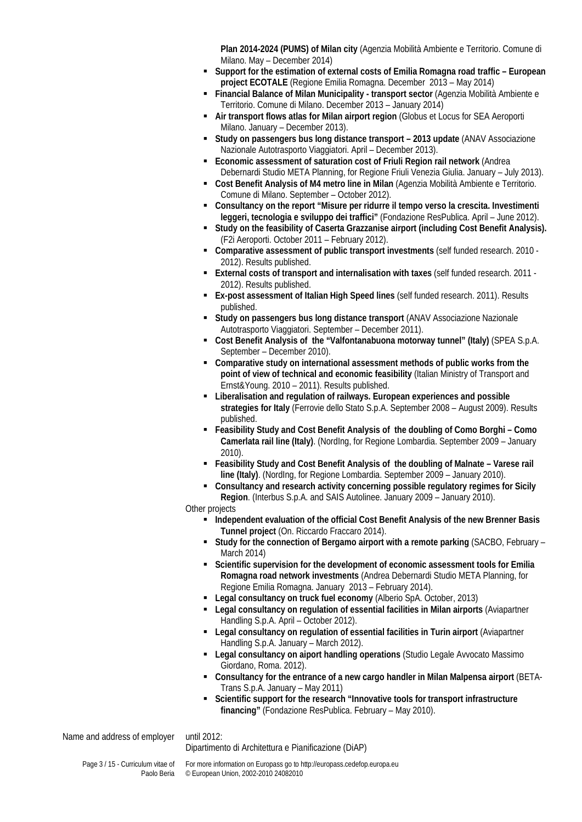**Plan 2014-2024 (PUMS) of Milan city** (Agenzia Mobilità Ambiente e Territorio. Comune di Milano. May – December 2014)

- **Support for the estimation of external costs of Emilia Romagna road traffic – European project ECOTALE** (Regione Emilia Romagna. December 2013 – May 2014)
- **Financial Balance of Milan Municipality - transport sector** (Agenzia Mobilità Ambiente e Territorio. Comune di Milano. December 2013 – January 2014)
- **Air transport flows atlas for Milan airport region** (Globus et Locus for SEA Aeroporti Milano. January – December 2013).
- **Study on passengers bus long distance transport – 2013 update** (ANAV Associazione Nazionale Autotrasporto Viaggiatori. April – December 2013).
- **Economic assessment of saturation cost of Friuli Region rail network** (Andrea Debernardi Studio META Planning, for Regione Friuli Venezia Giulia. January – July 2013).
- **Cost Benefit Analysis of M4 metro line in Milan** (Agenzia Mobilità Ambiente e Territorio. Comune di Milano. September – October 2012).
- **Consultancy on the report "Misure per ridurre il tempo verso la crescita. Investimenti leggeri, tecnologia e sviluppo dei traffici"** (Fondazione ResPublica. April – June 2012).
- **Study on the feasibility of Caserta Grazzanise airport (including Cost Benefit Analysis).** (F2i Aeroporti. October 2011 – February 2012).
- **Comparative assessment of public transport investments** (self funded research. 2010 2012). Results published.
- **External costs of transport and internalisation with taxes** (self funded research. 2011 2012). Results published.
- **Ex-post assessment of Italian High Speed lines** (self funded research. 2011). Results published.
- **Study on passengers bus long distance transport** (ANAV Associazione Nazionale Autotrasporto Viaggiatori. September – December 2011).
- **Cost Benefit Analysis of the "Valfontanabuona motorway tunnel" (Italy)** (SPEA S.p.A. September – December 2010).
- **Comparative study on international assessment methods of public works from the point of view of technical and economic feasibility** (Italian Ministry of Transport and Ernst&Young. 2010 – 2011). Results published.
- **Liberalisation and regulation of railways. European experiences and possible strategies for Italy** (Ferrovie dello Stato S.p.A. September 2008 – August 2009). Results published.
- **Feasibility Study and Cost Benefit Analysis of the doubling of Como Borghi – Como Camerlata rail line (Italy)**. (NordIng, for Regione Lombardia. September 2009 – January 2010).
- **Feasibility Study and Cost Benefit Analysis of the doubling of Malnate – Varese rail line (Italy)**. (NordIng, for Regione Lombardia. September 2009 – January 2010).
- **Consultancy and research activity concerning possible regulatory regimes for Sicily Region**. (Interbus S.p.A. and SAIS Autolinee. January 2009 – January 2010).
- Other projects
	- **Independent evaluation of the official Cost Benefit Analysis of the new Brenner Basis Tunnel project** (On. Riccardo Fraccaro 2014).
	- **Study for the connection of Bergamo airport with a remote parking (SACBO, February** March 2014)
	- **Scientific supervision for the development of economic assessment tools for Emilia Romagna road network investments** (Andrea Debernardi Studio META Planning, for Regione Emilia Romagna. January 2013 – February 2014).
	- **Legal consultancy on truck fuel economy** (Alberio SpA. October, 2013)
	- **Legal consultancy on regulation of essential facilities in Milan airports** (Aviapartner Handling S.p.A. April – October 2012).
	- **Legal consultancy on regulation of essential facilities in Turin airport** (Aviapartner Handling S.p.A. January – March 2012).
	- **Legal consultancy on aiport handling operations** (Studio Legale Avvocato Massimo Giordano, Roma. 2012).
	- **Consultancy for the entrance of a new cargo handler in Milan Malpensa airport** (BETA-Trans S.p.A. January – May 2011)
	- **Scientific support for the research "Innovative tools for transport infrastructure financing"** (Fondazione ResPublica. February – May 2010).

Name and address of employer until 2012:

Dipartimento di Architettura e Pianificazione (DiAP)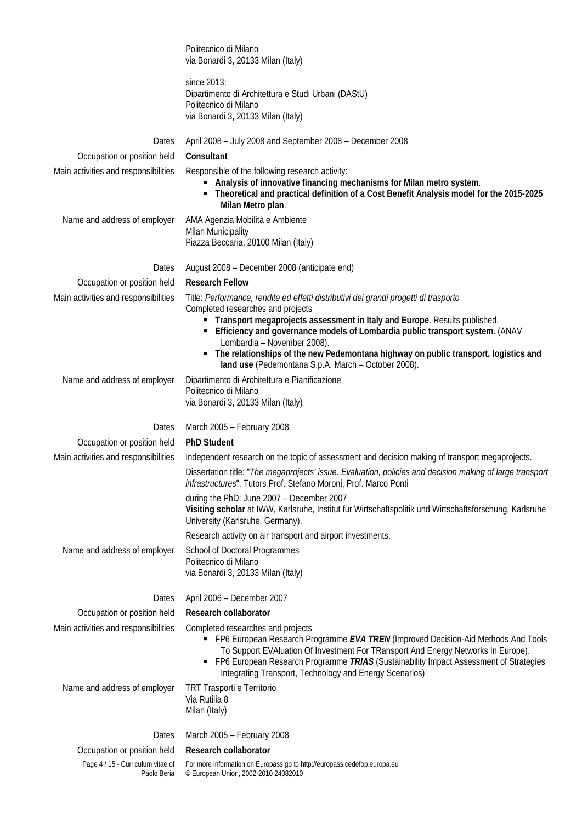|                                                  | Politecnico di Milano<br>via Bonardi 3, 20133 Milan (Italy)                                                                                                                                                                                                                                                                                                                                                                                                              |
|--------------------------------------------------|--------------------------------------------------------------------------------------------------------------------------------------------------------------------------------------------------------------------------------------------------------------------------------------------------------------------------------------------------------------------------------------------------------------------------------------------------------------------------|
|                                                  | since 2013:<br>Dipartimento di Architettura e Studi Urbani (DAStU)<br>Politecnico di Milano<br>via Bonardi 3, 20133 Milan (Italy)                                                                                                                                                                                                                                                                                                                                        |
| Dates                                            | April 2008 - July 2008 and September 2008 - December 2008                                                                                                                                                                                                                                                                                                                                                                                                                |
| Occupation or position held                      | Consultant                                                                                                                                                                                                                                                                                                                                                                                                                                                               |
| Main activities and responsibilities             | Responsible of the following research activity:<br>Analysis of innovative financing mechanisms for Milan metro system.<br>Theoretical and practical definition of a Cost Benefit Analysis model for the 2015-2025<br>٠<br>Milan Metro plan.                                                                                                                                                                                                                              |
| Name and address of employer                     | AMA Agenzia Mobilità e Ambiente<br><b>Milan Municipality</b><br>Piazza Beccaria, 20100 Milan (Italy)                                                                                                                                                                                                                                                                                                                                                                     |
| Dates                                            | August 2008 – December 2008 (anticipate end)                                                                                                                                                                                                                                                                                                                                                                                                                             |
| Occupation or position held                      | <b>Research Fellow</b>                                                                                                                                                                                                                                                                                                                                                                                                                                                   |
| Main activities and responsibilities             | Title: Performance, rendite ed effetti distributivi dei grandi progetti di trasporto<br>Completed researches and projects<br>Transport megaprojects assessment in Italy and Europe. Results published.<br>Efficiency and governance models of Lombardia public transport system. (ANAV<br>٠<br>Lombardia - November 2008).<br>The relationships of the new Pedemontana highway on public transport, logistics and<br>land use (Pedemontana S.p.A. March - October 2008). |
| Name and address of employer                     | Dipartimento di Architettura e Pianificazione<br>Politecnico di Milano<br>via Bonardi 3, 20133 Milan (Italy)                                                                                                                                                                                                                                                                                                                                                             |
| Dates                                            | March 2005 - February 2008                                                                                                                                                                                                                                                                                                                                                                                                                                               |
| Occupation or position held                      | <b>PhD Student</b>                                                                                                                                                                                                                                                                                                                                                                                                                                                       |
| Main activities and responsibilities             | Independent research on the topic of assessment and decision making of transport megaprojects.                                                                                                                                                                                                                                                                                                                                                                           |
|                                                  | Dissertation title: "The megaprojects' issue. Evaluation, policies and decision making of large transport<br>infrastructures". Tutors Prof. Stefano Moroni, Prof. Marco Ponti                                                                                                                                                                                                                                                                                            |
|                                                  | during the PhD: June 2007 - December 2007<br>Visiting scholar at IWW, Karlsruhe, Institut für Wirtschaftspolitik und Wirtschaftsforschung, Karlsruhe<br>University (Karlsruhe, Germany).                                                                                                                                                                                                                                                                                 |
|                                                  | Research activity on air transport and airport investments.                                                                                                                                                                                                                                                                                                                                                                                                              |
| Name and address of employer                     | School of Doctoral Programmes<br>Politecnico di Milano<br>via Bonardi 3, 20133 Milan (Italy)                                                                                                                                                                                                                                                                                                                                                                             |
| Dates                                            | April 2006 - December 2007                                                                                                                                                                                                                                                                                                                                                                                                                                               |
| Occupation or position held                      | Research collaborator                                                                                                                                                                                                                                                                                                                                                                                                                                                    |
| Main activities and responsibilities             | Completed researches and projects<br>• FP6 European Research Programme EVA TREN (Improved Decision-Aid Methods And Tools<br>To Support EVAluation Of Investment For TRansport And Energy Networks In Europe).<br>FP6 European Research Programme TRIAS (Sustainability Impact Assessment of Strategies<br>٠<br>Integrating Transport, Technology and Energy Scenarios)                                                                                                   |
| Name and address of employer                     | TRT Trasporti e Territorio<br>Via Rutilia 8<br>Milan (Italy)                                                                                                                                                                                                                                                                                                                                                                                                             |
| Dates                                            | March 2005 - February 2008                                                                                                                                                                                                                                                                                                                                                                                                                                               |
| Occupation or position held                      | Research collaborator                                                                                                                                                                                                                                                                                                                                                                                                                                                    |
| Page 4 / 15 - Curriculum vitae of<br>Paolo Beria | For more information on Europass go to http://europass.cedefop.europa.eu<br>© European Union, 2002-2010 24082010                                                                                                                                                                                                                                                                                                                                                         |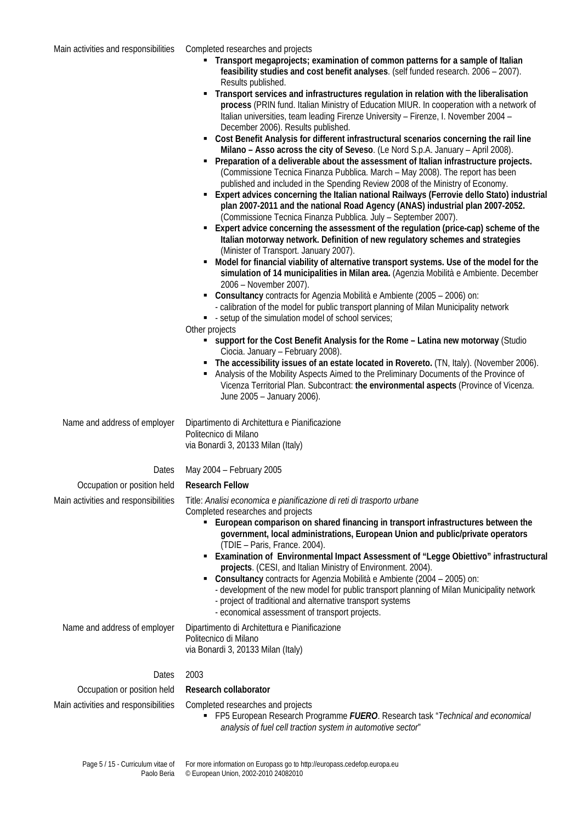- **Transport megaprojects; examination of common patterns for a sample of Italian feasibility studies and cost benefit analyses**. (self funded research. 2006 – 2007). Results published.
- **Transport services and infrastructures regulation in relation with the liberalisation process** (PRIN fund. Italian Ministry of Education MIUR. In cooperation with a network of Italian universities, team leading Firenze University – Firenze, I. November 2004 – December 2006). Results published.
- **Cost Benefit Analysis for different infrastructural scenarios concerning the rail line Milano – Asso across the city of Seveso**. (Le Nord S.p.A. January – April 2008).
- **Preparation of a deliverable about the assessment of Italian infrastructure projects.** (Commissione Tecnica Finanza Pubblica. March – May 2008). The report has been published and included in the Spending Review 2008 of the Ministry of Economy.
- **Expert advices concerning the Italian national Railways (Ferrovie dello Stato) industrial plan 2007-2011 and the national Road Agency (ANAS) industrial plan 2007-2052.** (Commissione Tecnica Finanza Pubblica. July – September 2007).
- **Expert advice concerning the assessment of the regulation (price-cap) scheme of the Italian motorway network. Definition of new regulatory schemes and strategies** (Minister of Transport. January 2007).
- **Model for financial viability of alternative transport systems. Use of the model for the simulation of 14 municipalities in Milan area.** (Agenzia Mobilità e Ambiente. December 2006 – November 2007).
- **Consultancy** contracts for Agenzia Mobilità e Ambiente (2005 2006) on: - calibration of the model for public transport planning of Milan Municipality network
- - setup of the simulation model of school services:
- Other projects
	- **support for the Cost Benefit Analysis for the Rome – Latina new motorway** (Studio Ciocia. January – February 2008).
	- **The accessibility issues of an estate located in Rovereto.** (TN, Italy). (November 2006).
	- Analysis of the Mobility Aspects Aimed to the Preliminary Documents of the Province of Vicenza Territorial Plan. Subcontract: **the environmental aspects** (Province of Vicenza. June 2005 – January 2006).

Name and address of employer Dipartimento di Architettura e Pianificazione Politecnico di Milano via Bonardi 3, 20133 Milan (Italy)

#### Dates May 2004 – February 2005

#### Occupation or position held **Research Fellow**

Main activities and responsibilities Title: *Analisi economica e pianificazione di reti di trasporto urbane* Completed researches and projects

- **European comparison on shared financing in transport infrastructures between the government, local administrations, European Union and public/private operators** (TDIE – Paris, France. 2004).
- **Examination of Environmental Impact Assessment of "Legge Obiettivo" infrastructural projects**. (CESI, and Italian Ministry of Environment. 2004).
- **Consultancy** contracts for Agenzia Mobilità e Ambiente (2004 2005) on:
- development of the new model for public transport planning of Milan Municipality network - project of traditional and alternative transport systems
- economical assessment of transport projects.

Name and address of employer Dipartimento di Architettura e Pianificazione Politecnico di Milano via Bonardi 3, 20133 Milan (Italy)

Dates 2003

#### Occupation or position held **Research collaborator**

- Main activities and responsibilities Completed researches and projects
	- FP5 European Research Programme *FUERO*. Research task "*Technical and economical analysis of fuel cell traction system in automotive sector*"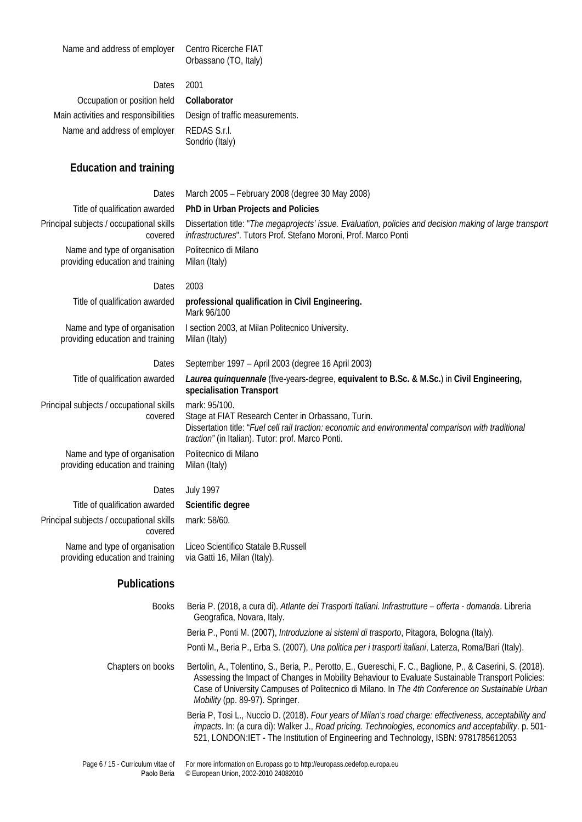Name and address of employer Centro Ricerche FIAT

# Orbassano (TO, Italy)

Dates 2001 Occupation or position held **Collaborator** Main activities and responsibilities Design of traffic measurements. Name and address of employer REDAS S.r.l.

Sondrio (Italy)

# **Education and training**

| Dates                                                             | March 2005 - February 2008 (degree 30 May 2008)                                                                                                                                                                                  |
|-------------------------------------------------------------------|----------------------------------------------------------------------------------------------------------------------------------------------------------------------------------------------------------------------------------|
| Title of qualification awarded                                    | PhD in Urban Projects and Policies                                                                                                                                                                                               |
| Principal subjects / occupational skills<br>covered               | Dissertation title: "The megaprojects' issue. Evaluation, policies and decision making of large transport<br>infrastructures". Tutors Prof. Stefano Moroni, Prof. Marco Ponti                                                    |
| Name and type of organisation<br>providing education and training | Politecnico di Milano<br>Milan (Italy)                                                                                                                                                                                           |
| Dates                                                             | 2003                                                                                                                                                                                                                             |
| Title of qualification awarded                                    | professional qualification in Civil Engineering.<br>Mark 96/100                                                                                                                                                                  |
| Name and type of organisation<br>providing education and training | I section 2003, at Milan Politecnico University.<br>Milan (Italy)                                                                                                                                                                |
| Dates                                                             | September 1997 - April 2003 (degree 16 April 2003)                                                                                                                                                                               |
| Title of qualification awarded                                    | Laurea quinquennale (five-years-degree, equivalent to B.Sc. & M.Sc.) in Civil Engineering,<br>specialisation Transport                                                                                                           |
| Principal subjects / occupational skills<br>covered               | mark: 95/100.<br>Stage at FIAT Research Center in Orbassano, Turin.<br>Dissertation title: "Fuel cell rail traction: economic and environmental comparison with traditional<br>traction" (in Italian). Tutor: prof. Marco Ponti. |
| Name and type of organisation<br>providing education and training | Politecnico di Milano<br>Milan (Italy)                                                                                                                                                                                           |
| Dates                                                             | <b>July 1997</b>                                                                                                                                                                                                                 |
| Title of qualification awarded                                    | Scientific degree                                                                                                                                                                                                                |
| Principal subjects / occupational skills                          | mark: 58/60.                                                                                                                                                                                                                     |

covered Name and type of organisation providing education and training

Liceo Scientifico Statale B.Russell via Gatti 16, Milan (Italy).

## **Publications**

| <b>Books</b>      | Beria P. (2018, a cura di). Atlante dei Trasporti Italiani. Infrastrutture – offerta - domanda. Libreria<br>Geografica, Novara, Italy.                                                                                                                                                                                                                         |
|-------------------|----------------------------------------------------------------------------------------------------------------------------------------------------------------------------------------------------------------------------------------------------------------------------------------------------------------------------------------------------------------|
|                   | Beria P., Ponti M. (2007), Introduzione ai sistemi di trasporto, Pitagora, Bologna (Italy).                                                                                                                                                                                                                                                                    |
|                   | Ponti M., Beria P., Erba S. (2007), Una politica per i trasporti italiani, Laterza, Roma/Bari (Italy).                                                                                                                                                                                                                                                         |
| Chapters on books | Bertolin, A., Tolentino, S., Beria, P., Perotto, E., Guereschi, F. C., Baglione, P., & Caserini, S. (2018).<br>Assessing the Impact of Changes in Mobility Behaviour to Evaluate Sustainable Transport Policies:<br>Case of University Campuses of Politecnico di Milano. In The 4th Conference on Sustainable Urban<br><i>Mobility</i> (pp. 89-97). Springer. |
|                   | Beria P, Tosi L., Nuccio D. (2018). Four years of Milan's road charge: effectiveness, acceptability and<br>impacts. In: (a cura di): Walker J., Road pricing. Technologies, economics and acceptability. p. 501-<br>521, LONDON: IET - The Institution of Engineering and Technology, ISBN: 9781785612053                                                      |
|                   |                                                                                                                                                                                                                                                                                                                                                                |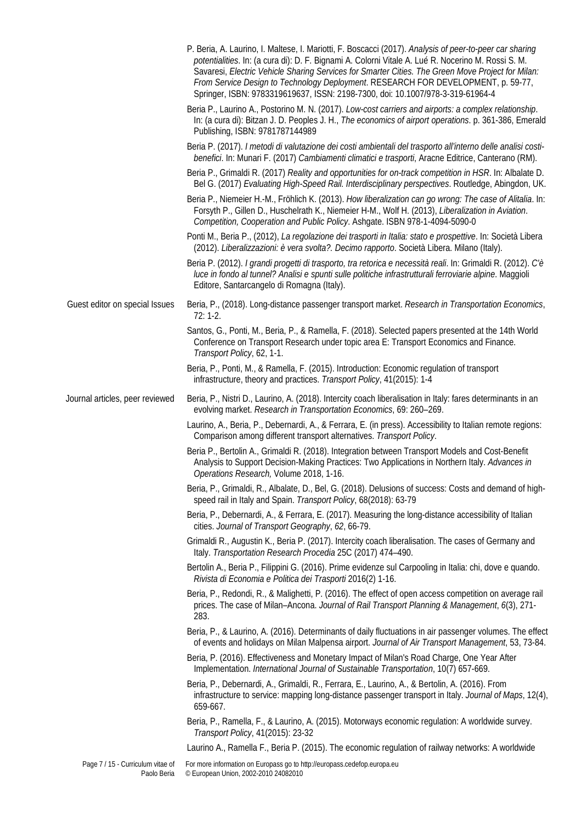|                                                  | P. Beria, A. Laurino, I. Maltese, I. Mariotti, F. Boscacci (2017). Analysis of peer-to-peer car sharing<br>potentialities. In: (a cura di): D. F. Bignami A. Colorni Vitale A. Lué R. Nocerino M. Rossi S. M.<br>Savaresi, Electric Vehicle Sharing Services for Smarter Cities. The Green Move Project for Milan:<br>From Service Design to Technology Deployment. RESEARCH FOR DEVELOPMENT, p. 59-77,<br>Springer, ISBN: 9783319619637, ISSN: 2198-7300, doi: 10.1007/978-3-319-61964-4 |
|--------------------------------------------------|-------------------------------------------------------------------------------------------------------------------------------------------------------------------------------------------------------------------------------------------------------------------------------------------------------------------------------------------------------------------------------------------------------------------------------------------------------------------------------------------|
|                                                  | Beria P., Laurino A., Postorino M. N. (2017). Low-cost carriers and airports: a complex relationship.<br>In: (a cura di): Bitzan J. D. Peoples J. H., The economics of airport operations. p. 361-386, Emerald<br>Publishing, ISBN: 9781787144989                                                                                                                                                                                                                                         |
|                                                  | Beria P. (2017). I metodi di valutazione dei costi ambientali del trasporto all'interno delle analisi costi-<br>benefici. In: Munari F. (2017) Cambiamenti climatici e trasporti, Aracne Editrice, Canterano (RM).                                                                                                                                                                                                                                                                        |
|                                                  | Beria P., Grimaldi R. (2017) Reality and opportunities for on-track competition in HSR. In: Albalate D.<br>Bel G. (2017) Evaluating High-Speed Rail. Interdisciplinary perspectives. Routledge, Abingdon, UK.                                                                                                                                                                                                                                                                             |
|                                                  | Beria P., Niemeier H.-M., Fröhlich K. (2013). How liberalization can go wrong: The case of Alitalia. In:<br>Forsyth P., Gillen D., Huschelrath K., Niemeier H-M., Wolf H. (2013), Liberalization in Aviation.<br>Competition, Cooperation and Public Policy. Ashgate. ISBN 978-1-4094-5090-0                                                                                                                                                                                              |
|                                                  | Ponti M., Beria P., (2012), La regolazione dei trasporti in Italia: stato e prospettive. In: Società Libera<br>(2012). Liberalizzazioni: è vera svolta?. Decimo rapporto. Società Libera. Milano (Italy).                                                                                                                                                                                                                                                                                 |
|                                                  | Beria P. (2012). I grandi progetti di trasporto, tra retorica e necessità reali. In: Grimaldi R. (2012). C'è<br>luce in fondo al tunnel? Analisi e spunti sulle politiche infrastrutturali ferroviarie alpine. Maggioli<br>Editore, Santarcangelo di Romagna (Italy).                                                                                                                                                                                                                     |
| Guest editor on special Issues                   | Beria, P., (2018). Long-distance passenger transport market. Research in Transportation Economics,<br>$72:1-2.$                                                                                                                                                                                                                                                                                                                                                                           |
|                                                  | Santos, G., Ponti, M., Beria, P., & Ramella, F. (2018). Selected papers presented at the 14th World<br>Conference on Transport Research under topic area E: Transport Economics and Finance.<br>Transport Policy, 62, 1-1.                                                                                                                                                                                                                                                                |
|                                                  | Beria, P., Ponti, M., & Ramella, F. (2015). Introduction: Economic regulation of transport<br>infrastructure, theory and practices. Transport Policy, 41(2015): 1-4                                                                                                                                                                                                                                                                                                                       |
| Journal articles, peer reviewed                  | Beria, P., Nistri D., Laurino, A. (2018). Intercity coach liberalisation in Italy: fares determinants in an<br>evolving market. Research in Transportation Economics, 69: 260-269.                                                                                                                                                                                                                                                                                                        |
|                                                  | Laurino, A., Beria, P., Debernardi, A., & Ferrara, E. (in press). Accessibility to Italian remote regions:<br>Comparison among different transport alternatives. Transport Policy.                                                                                                                                                                                                                                                                                                        |
|                                                  | Beria P., Bertolin A., Grimaldi R. (2018). Integration between Transport Models and Cost-Benefit<br>Analysis to Support Decision-Making Practices: Two Applications in Northern Italy. Advances in<br>Operations Research, Volume 2018, 1-16.                                                                                                                                                                                                                                             |
|                                                  | Beria, P., Grimaldi, R., Albalate, D., Bel, G. (2018). Delusions of success: Costs and demand of high-<br>speed rail in Italy and Spain. Transport Policy, 68(2018): 63-79                                                                                                                                                                                                                                                                                                                |
|                                                  | Beria, P., Debernardi, A., & Ferrara, E. (2017). Measuring the long-distance accessibility of Italian<br>cities. Journal of Transport Geography, 62, 66-79.                                                                                                                                                                                                                                                                                                                               |
|                                                  | Grimaldi R., Augustin K., Beria P. (2017). Intercity coach liberalisation. The cases of Germany and<br>Italy. Transportation Research Procedia 25C (2017) 474-490.                                                                                                                                                                                                                                                                                                                        |
|                                                  | Bertolin A., Beria P., Filippini G. (2016). Prime evidenze sul Carpooling in Italia: chi, dove e quando.<br>Rivista di Economia e Politica dei Trasporti 2016(2) 1-16.                                                                                                                                                                                                                                                                                                                    |
|                                                  | Beria, P., Redondi, R., & Malighetti, P. (2016). The effect of open access competition on average rail<br>prices. The case of Milan-Ancona. Journal of Rail Transport Planning & Management, 6(3), 271-<br>283.                                                                                                                                                                                                                                                                           |
|                                                  | Beria, P., & Laurino, A. (2016). Determinants of daily fluctuations in air passenger volumes. The effect<br>of events and holidays on Milan Malpensa airport. Journal of Air Transport Management, 53, 73-84.                                                                                                                                                                                                                                                                             |
|                                                  | Beria, P. (2016). Effectiveness and Monetary Impact of Milan's Road Charge, One Year After<br>Implementation. International Journal of Sustainable Transportation, 10(7) 657-669.                                                                                                                                                                                                                                                                                                         |
|                                                  | Beria, P., Debernardi, A., Grimaldi, R., Ferrara, E., Laurino, A., & Bertolin, A. (2016). From<br>infrastructure to service: mapping long-distance passenger transport in Italy. Journal of Maps, 12(4),<br>659-667.                                                                                                                                                                                                                                                                      |
|                                                  | Beria, P., Ramella, F., & Laurino, A. (2015). Motorways economic regulation: A worldwide survey.<br>Transport Policy, 41(2015): 23-32                                                                                                                                                                                                                                                                                                                                                     |
|                                                  | Laurino A., Ramella F., Beria P. (2015). The economic regulation of railway networks: A worldwide                                                                                                                                                                                                                                                                                                                                                                                         |
| Page 7 / 15 - Curriculum vitae of<br>Paolo Beria | For more information on Europass go to http://europass.cedefop.europa.eu<br>© European Union, 2002-2010 24082010                                                                                                                                                                                                                                                                                                                                                                          |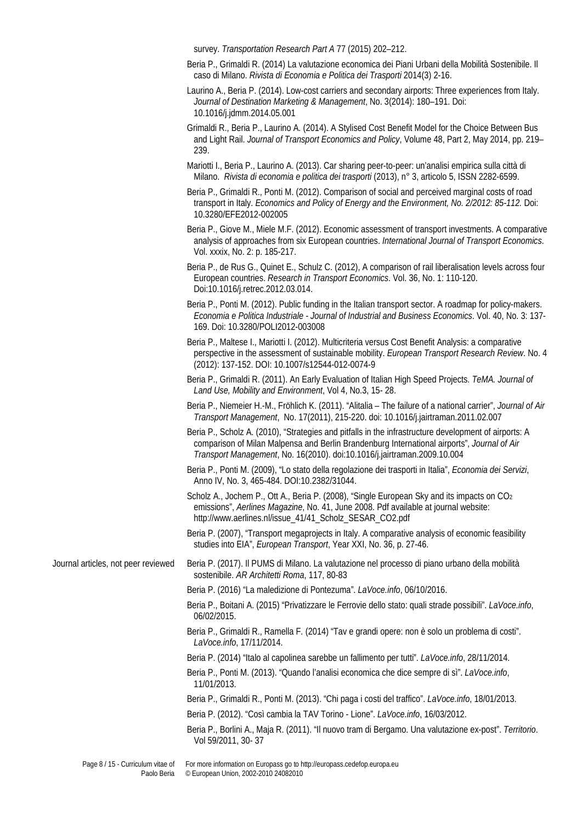survey. *Transportation Research Part A* 77 (2015) 202–212.

- Beria P., Grimaldi R. (2014) La valutazione economica dei Piani Urbani della Mobilità Sostenibile. Il caso di Milano. *Rivista di Economia e Politica dei Trasporti* 2014(3) 2-16.
- Laurino A., Beria P. (2014). Low-cost carriers and secondary airports: Three experiences from Italy. *Journal of Destination Marketing & Management*, No. 3(2014): 180–191. Doi: 10.1016/j.jdmm.2014.05.001
- Grimaldi R., Beria P., Laurino A. (2014). A Stylised Cost Benefit Model for the Choice Between Bus and Light Rail. *Journal of Transport Economics and Policy*, Volume 48, Part 2, May 2014, pp. 219– 239.
- Mariotti I., Beria P., Laurino A. (2013). Car sharing peer-to-peer: un'analisi empirica sulla città di Milano. *Rivista di economia e politica dei trasporti* (2013), n° 3, articolo 5, ISSN 2282-6599.
- Beria P., Grimaldi R., Ponti M. (2012). Comparison of social and perceived marginal costs of road transport in Italy. *Economics and Policy of Energy and the Environment, No. 2/2012: 85-112.* Doi: 10.3280/EFE2012-002005
- Beria P., Giove M., Miele M.F. (2012). Economic assessment of transport investments. A comparative analysis of approaches from six European countries. *International Journal of Transport Economics*. Vol. xxxix, No. 2: p. 185-217.
- Beria P., de Rus G., Quinet E., Schulz C. (2012), A comparison of rail liberalisation levels across four European countries. *Research in Transport Economics*. Vol. 36, No. 1: 110-120. Doi:10.1016/j.retrec.2012.03.014.
- Beria P., Ponti M. (2012). Public funding in the Italian transport sector. A roadmap for policy-makers. *Economia e Politica Industriale - Journal of Industrial and Business Economics*. Vol. 40, No. 3: 137- 169. Doi: 10.3280/POLI2012-003008
- Beria P., Maltese I., Mariotti I. (2012). Multicriteria versus Cost Benefit Analysis: a comparative perspective in the assessment of sustainable mobility. *European Transport Research Review*. No. 4 (2012): 137-152. DOI: 10.1007/s12544-012-0074-9
- Beria P., Grimaldi R. (2011). An Early Evaluation of Italian High Speed Projects. *TeMA. Journal of Land Use, Mobility and Environment*, Vol 4, No.3, 15- 28.
- Beria P., Niemeier H.-M., Fröhlich K. (2011). "Alitalia The failure of a national carrier", *Journal of Air Transport Management*, No. 17(2011), 215-220. doi: 10.1016/j.jairtraman.2011.02.007
- Beria P., Scholz A. (2010), "Strategies and pitfalls in the infrastructure development of airports: A comparison of Milan Malpensa and Berlin Brandenburg International airports", *Journal of Air Transport Management*, No. 16(2010). doi:10.1016/j.jairtraman.2009.10.004
- Beria P., Ponti M. (2009), "Lo stato della regolazione dei trasporti in Italia", *Economia dei Servizi*, Anno IV, No. 3, 465-484. DOI:10.2382/31044.
- Scholz A., Jochem P., Ott A., Beria P. (2008), "Single European Sky and its impacts on CO<sub>2</sub> emissions", *Aerlines Magazine*, No. 41, June 2008. Pdf available at journal website: http://www.aerlines.nl/issue\_41/41\_Scholz\_SESAR\_CO2.pdf
- Beria P. (2007), "Transport megaprojects in Italy. A comparative analysis of economic feasibility studies into EIA", *European Transport*, Year XXI, No. 36, p. 27-46.

Journal articles, not peer reviewed Beria P. (2017). Il PUMS di Milano. La valutazione nel processo di piano urbano della mobilità sostenibile. *AR Architetti Roma*, 117, 80-83

- Beria P. (2016) "La maledizione di Pontezuma". *LaVoce.info*, 06/10/2016.
- Beria P., Boitani A. (2015) "Privatizzare le Ferrovie dello stato: quali strade possibili". *LaVoce.info*, 06/02/2015.
- Beria P., Grimaldi R., Ramella F. (2014) "Tav e grandi opere: non è solo un problema di costi". *LaVoce.info*, 17/11/2014.
- Beria P. (2014) "Italo al capolinea sarebbe un fallimento per tutti". *LaVoce.info*, 28/11/2014.

Beria P., Ponti M. (2013). "Quando l'analisi economica che dice sempre di sì". *LaVoce.info*, 11/01/2013.

- Beria P., Grimaldi R., Ponti M. (2013). "Chi paga i costi del traffico". *LaVoce.info*, 18/01/2013.
- Beria P. (2012). "Così cambia la TAV Torino Lione". *LaVoce.info*, 16/03/2012.
- Beria P., Borlini A., Maja R. (2011). "Il nuovo tram di Bergamo. Una valutazione ex-post". *Territorio*. Vol 59/2011, 30- 37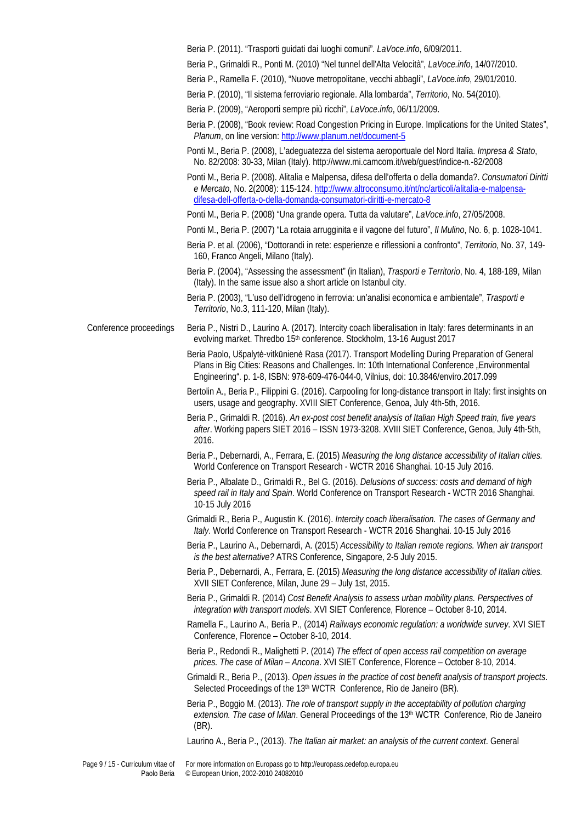Beria P. (2011). "Trasporti guidati dai luoghi comuni". *LaVoce.info*, 6/09/2011.

Beria P., Grimaldi R., Ponti M. (2010) "Nel tunnel dell'Alta Velocità", *LaVoce.info*, 14/07/2010.

Beria P., Ramella F. (2010), "Nuove metropolitane, vecchi abbagli", *LaVoce.info*, 29/01/2010.

Beria P. (2010), "Il sistema ferroviario regionale. Alla lombarda", *Territorio*, No. 54(2010).

Beria P. (2009), "Aeroporti sempre più ricchi", *LaVoce.info*, 06/11/2009.

- Beria P. (2008), "Book review: Road Congestion Pricing in Europe. Implications for the United States", *Planum*, on line version:<http://www.planum.net/document-5>
- Ponti M., Beria P. (2008), L'adeguatezza del sistema aeroportuale del Nord Italia. *Impresa & Stato*, No. 82/2008: 30-33, Milan (Italy). http://www.mi.camcom.it/web/guest/indice-n.-82/2008
- Ponti M., Beria P. (2008). Alitalia e Malpensa, difesa dell'offerta o della domanda?. *Consumatori Diritti e Mercato*, No. 2(2008): 115-124. [http://www.altroconsumo.it/nt/nc/articoli/alitalia-e-malpensa](http://www.altroconsumo.it/nt/nc/articoli/alitalia-e-malpensa-difesa-dell-offerta-o-della-domanda-consumatori-diritti-e-mercato-8)[difesa-dell-offerta-o-della-domanda-consumatori-diritti-e-mercato-8](http://www.altroconsumo.it/nt/nc/articoli/alitalia-e-malpensa-difesa-dell-offerta-o-della-domanda-consumatori-diritti-e-mercato-8)

Ponti M., Beria P. (2008) "Una grande opera. Tutta da valutare", *LaVoce.info*, 27/05/2008.

- Ponti M., Beria P. (2007) "La rotaia arrugginita e il vagone del futuro", *Il Mulino*, No. 6, p. 1028-1041.
- Beria P. et al. (2006), "Dottorandi in rete: esperienze e riflessioni a confronto", *Territorio*, No. 37, 149- 160, Franco Angeli, Milano (Italy).

Beria P. (2004), "Assessing the assessment" (in Italian), *Trasporti e Territorio*, No. 4, 188-189, Milan (Italy). In the same issue also a short article on Istanbul city.

Beria P. (2003), "L'uso dell'idrogeno in ferrovia: un'analisi economica e ambientale", *Trasporti e Territorio*, No.3, 111-120, Milan (Italy).

Conference proceedings Beria P., Nistri D., Laurino A. (2017). Intercity coach liberalisation in Italy: fares determinants in an evolving market. Thredbo 15<sup>th</sup> conference. Stockholm, 13-16 August 2017

> Beria Paolo, Ušpalytė-vitkūnienė Rasa (2017). Transport Modelling During Preparation of General Plans in Big Cities: Reasons and Challenges. In: 10th International Conference "Environmental Engineering". p. 1-8, ISBN: 978-609-476-044-0, Vilnius, doi: 10.3846/enviro.2017.099

Bertolin A., Beria P., Filippini G. (2016). Carpooling for long-distance transport in Italy: first insights on users, usage and geography. XVIII SIET Conference, Genoa, July 4th-5th, 2016.

Beria P., Grimaldi R. (2016). *An ex-post cost benefit analysis of Italian High Speed train, five years after*. Working papers SIET 2016 – ISSN 1973-3208. XVIII SIET Conference, Genoa, July 4th-5th, 2016.

Beria P., Debernardi, A., Ferrara, E. (2015) *Measuring the long distance accessibility of Italian cities.* World Conference on Transport Research - WCTR 2016 Shanghai. 10-15 July 2016.

Beria P., Albalate D., Grimaldi R., Bel G. (2016). *Delusions of success: costs and demand of high speed rail in Italy and Spain*. World Conference on Transport Research - WCTR 2016 Shanghai. 10-15 July 2016

Grimaldi R., Beria P., Augustin K. (2016). *Intercity coach liberalisation. The cases of Germany and Italy*. World Conference on Transport Research - WCTR 2016 Shanghai. 10-15 July 2016

Beria P., Laurino A., Debernardi, A. (2015) *Accessibility to Italian remote regions. When air transport is the best alternative?* ATRS Conference, Singapore, 2-5 July 2015.

Beria P., Debernardi, A., Ferrara, E. (2015) *Measuring the long distance accessibility of Italian cities.* XVII SIET Conference, Milan, June 29 – July 1st, 2015.

- Beria P., Grimaldi R. (2014) *Cost Benefit Analysis to assess urban mobility plans. Perspectives of integration with transport models*. XVI SIET Conference, Florence – October 8-10, 2014.
- Ramella F., Laurino A., Beria P., (2014) *Railways economic regulation: a worldwide survey*. XVI SIET Conference, Florence – October 8-10, 2014.

Beria P., Redondi R., Malighetti P. (2014) *The effect of open access rail competition on average prices. The case of Milan – Ancona*. XVI SIET Conference, Florence – October 8-10, 2014.

Grimaldi R., Beria P., (2013). *Open issues in the practice of cost benefit analysis of transport projects*. Selected Proceedings of the 13<sup>th</sup> WCTR Conference, Rio de Janeiro (BR).

Beria P., Boggio M. (2013). *The role of transport supply in the acceptability of pollution charging extension. The case of Milan*. General Proceedings of the 13th WCTR Conference, Rio de Janeiro (BR).

Laurino A., Beria P., (2013). *The Italian air market: an analysis of the current context*. General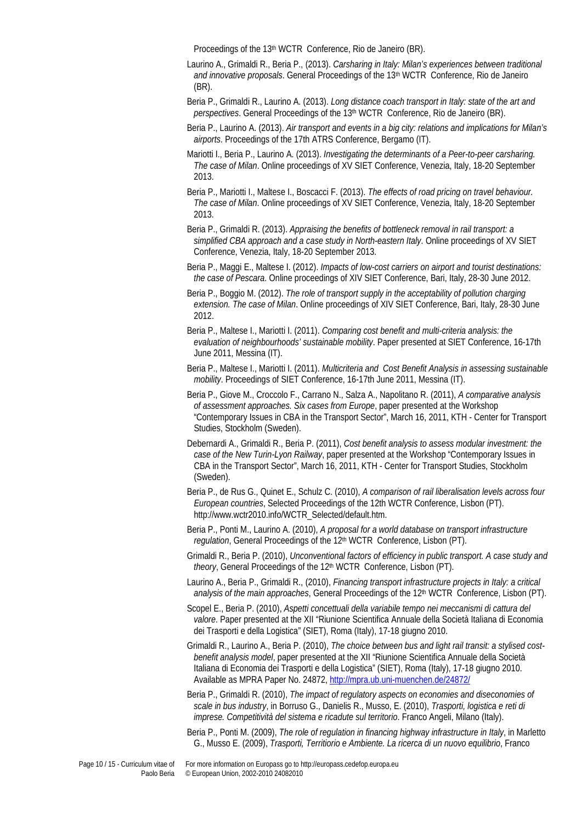Proceedings of the 13<sup>th</sup> WCTR Conference, Rio de Janeiro (BR).

- Laurino A., Grimaldi R., Beria P., (2013). *Carsharing in Italy: Milan's experiences between traditional and innovative proposals*. General Proceedings of the 13th WCTR Conference, Rio de Janeiro (BR).
- Beria P., Grimaldi R., Laurino A. (2013). *Long distance coach transport in Italy: state of the art and perspectives*. General Proceedings of the 13th WCTR Conference, Rio de Janeiro (BR).
- Beria P., Laurino A. (2013). *Air transport and events in a big city: relations and implications for Milan's airports*. Proceedings of the 17th ATRS Conference, Bergamo (IT).
- Mariotti I., Beria P., Laurino A. (2013). *Investigating the determinants of a Peer-to-peer carsharing. The case of Milan*. Online proceedings of XV SIET Conference, Venezia, Italy, 18-20 September 2013.
- Beria P., Mariotti I., Maltese I., Boscacci F. (2013). *The effects of road pricing on travel behaviour. The case of Milan*. Online proceedings of XV SIET Conference, Venezia, Italy, 18-20 September 2013.
- Beria P., Grimaldi R. (2013). *Appraising the benefits of bottleneck removal in rail transport: a simplified CBA approach and a case study in North-eastern Italy*. Online proceedings of XV SIET Conference, Venezia, Italy, 18-20 September 2013.
- Beria P., Maggi E., Maltese I. (2012). *Impacts of low-cost carriers on airport and tourist destinations: the case of Pescara*. Online proceedings of XIV SIET Conference, Bari, Italy, 28-30 June 2012.
- Beria P., Boggio M. (2012). *The role of transport supply in the acceptability of pollution charging extension. The case of Milan*. Online proceedings of XIV SIET Conference, Bari, Italy, 28-30 June 2012.
- Beria P., Maltese I., Mariotti I. (2011). *Comparing cost benefit and multi-criteria analysis: the evaluation of neighbourhoods' sustainable mobility*. Paper presented at SIET Conference, 16-17th June 2011, Messina (IT).
- Beria P., Maltese I., Mariotti I. (2011). *Multicriteria and Cost Benefit Analysis in assessing sustainable mobility*. Proceedings of SIET Conference, 16-17th June 2011, Messina (IT).
- Beria P., Giove M., Croccolo F., Carrano N., Salza A., Napolitano R. (2011), *A comparative analysis of assessment approaches. Six cases from Europe*, paper presented at the Workshop "Contemporary Issues in CBA in the Transport Sector", March 16, 2011, KTH - Center for Transport Studies, Stockholm (Sweden).
- Debernardi A., Grimaldi R., Beria P. (2011), *Cost benefit analysis to assess modular investment: the case of the New Turin-Lyon Railway*, paper presented at the Workshop "Contemporary Issues in CBA in the Transport Sector", March 16, 2011, KTH - Center for Transport Studies, Stockholm (Sweden).
- Beria P., de Rus G., Quinet E., Schulz C. (2010), *A comparison of rail liberalisation levels across four European countries*, Selected Proceedings of the 12th WCTR Conference, Lisbon (PT). http://www.wctr2010.info/WCTR\_Selected/default.htm.
- Beria P., Ponti M., Laurino A. (2010), *A proposal for a world database on transport infrastructure regulation*, General Proceedings of the 12th WCTR Conference, Lisbon (PT).
- Grimaldi R., Beria P. (2010), *Unconventional factors of efficiency in public transport. A case study and theory*, General Proceedings of the 12<sup>th</sup> WCTR Conference, Lisbon (PT).
- Laurino A., Beria P., Grimaldi R., (2010), *Financing transport infrastructure projects in Italy: a critical analysis of the main approaches*, General Proceedings of the 12<sup>th</sup> WCTR Conference, Lisbon (PT).
- Scopel E., Beria P. (2010), *Aspetti concettuali della variabile tempo nei meccanismi di cattura del valore*. Paper presented at the XII "Riunione Scientifica Annuale della Società Italiana di Economia dei Trasporti e della Logistica" (SIET), Roma (Italy), 17-18 giugno 2010.
- Grimaldi R., Laurino A., Beria P. (2010), *The choice between bus and light rail transit: a stylised costbenefit analysis model*, paper presented at the XII "Riunione Scientifica Annuale della Società Italiana di Economia dei Trasporti e della Logistica" (SIET), Roma (Italy), 17-18 giugno 2010. Available as MPRA Paper No. 24872[, http://mpra.ub.uni-muenchen.de/24872/](http://mpra.ub.uni-muenchen.de/24872/)
- Beria P., Grimaldi R. (2010), *The impact of regulatory aspects on economies and diseconomies of scale in bus industry*, in Borruso G., Danielis R., Musso, E. (2010), *Trasporti, logistica e reti di imprese. Competitività del sistema e ricadute sul territorio*. Franco Angeli, Milano (Italy).
- Beria P., Ponti M. (2009), *The role of regulation in financing highway infrastructure in Italy*, in Marletto G., Musso E. (2009), *Trasporti, Territiorio e Ambiente. La ricerca di un nuovo equilibrio*, Franco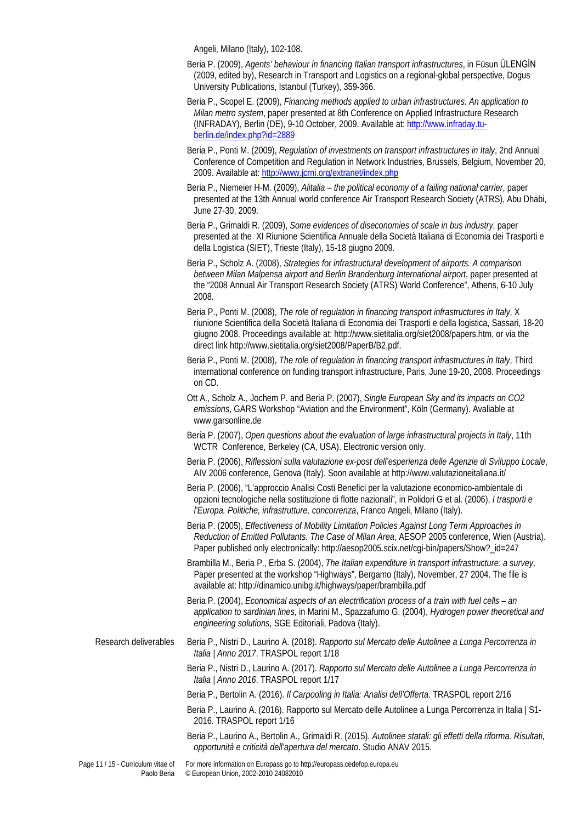Angeli, Milano (Italy), 102-108.

- Beria P. (2009), *Agents' behaviour in financing Italian transport infrastructures*, in Füsun ÜLENGİN (2009, edited by), Research in Transport and Logistics on a regional-global perspective, Dogus University Publications, Istanbul (Turkey), 359-366.
- Beria P., Scopel E. (2009), *Financing methods applied to urban infrastructures. An application to Milan metro system*, paper presented at 8th Conference on Applied Infrastructure Research (INFRADAY), Berlin (DE), 9-10 October, 2009. Available at[: http://www.infraday.tu](http://www.infraday.tu-berlin.de/index.php?id=2889)[berlin.de/index.php?id=2889](http://www.infraday.tu-berlin.de/index.php?id=2889)
- Beria P., Ponti M. (2009), *Regulation of investments on transport infrastructures in Italy*, 2nd Annual Conference of Competition and Regulation in Network Industries, Brussels, Belgium, November 20, 2009. Available at:<http://www.jcrni.org/extranet/index.php>
- Beria P., Niemeier H-M. (2009), *Alitalia – the political economy of a failing national carrier*, paper presented at the 13th Annual world conference Air Transport Research Society (ATRS), Abu Dhabi, June 27-30, 2009.
- Beria P., Grimaldi R. (2009), *Some evidences of diseconomies of scale in bus industry*, paper presented at the XI Riunione Scientifica Annuale della Società Italiana di Economia dei Trasporti e della Logistica (SIET), Trieste (Italy), 15-18 giugno 2009.
- Beria P., Scholz A. (2008), *Strategies for infrastructural development of airports. A comparison between Milan Malpensa airport and Berlin Brandenburg International airport*, paper presented at the "2008 Annual Air Transport Research Society (ATRS) World Conference", Athens, 6-10 July 2008.
- Beria P., Ponti M. (2008), *The role of regulation in financing transport infrastructures in Italy*, X riunione Scientifica della Società Italiana di Economia dei Trasporti e della logistica, Sassari, 18-20 giugno 2008. Proceedings available at: http://www.sietitalia.org/siet2008/papers.htm, or via the direct link http://www.sietitalia.org/siet2008/PaperB/B2.pdf.
- Beria P., Ponti M. (2008), *The role of regulation in financing transport infrastructures in Italy*, Third international conference on funding transport infrastructure, Paris, June 19-20, 2008. Proceedings on CD.
- Ott A., Scholz A., Jochem P. and Beria P. (2007), *Single European Sky and its impacts on CO2 emissions*, GARS Workshop "Aviation and the Environment", Köln (Germany). Avaliable at www.garsonline.de
- Beria P. (2007), *Open questions about the evaluation of large infrastructural projects in Italy*, 11th WCTR Conference, Berkeley (CA, USA). Electronic version only.
- Beria P. (2006), *Riflessioni sulla valutazione ex-post dell'esperienza delle Agenzie di Sviluppo Locale*, AIV 2006 conference, Genova (Italy). Soon available at http://www.valutazioneitaliana.it/
- Beria P. (2006), "L'approccio Analisi Costi Benefici per la valutazione economico-ambientale di opzioni tecnologiche nella sostituzione di flotte nazionali", in Polidori G et al. (2006), *I trasporti e l'Europa. Politiche, infrastrutture, concorrenza*, Franco Angeli, Milano (Italy).
- Beria P. (2005), *Effectiveness of Mobility Limitation Policies Against Long Term Approaches in Reduction of Emitted Pollutants. The Case of Milan Area*, AESOP 2005 conference, Wien (Austria). Paper published only electronically: http://aesop2005.scix.net/cgi-bin/papers/Show?\_id=247
- Brambilla M., Beria P., Erba S. (2004), *The Italian expenditure in transport infrastructure: a survey*. Paper presented at the workshop "Highways", Bergamo (Italy), November, 27 2004. The file is available at: http://dinamico.unibg.it/highways/paper/brambilla.pdf
- Beria P. (2004), *Economical aspects of an electrification process of a train with fuel cells – an application to sardinian lines,* in Marini M., Spazzafumo G. (2004), *Hydrogen power theoretical and engineering solutions*, SGE Editoriali, Padova (Italy).

Research deliverables Beria P., Nistri D., Laurino A. (2018). *Rapporto sul Mercato delle Autolinee a Lunga Percorrenza in Italia | Anno 2017*. TRASPOL report 1/18

> Beria P., Nistri D., Laurino A. (2017). *Rapporto sul Mercato delle Autolinee a Lunga Percorrenza in Italia | Anno 2016*. TRASPOL report 1/17

Beria P., Bertolin A. (2016). *Il Carpooling in Italia: Analisi dell'Offerta*. TRASPOL report 2/16

- Beria P., Laurino A. (2016). Rapporto sul Mercato delle Autolinee a Lunga Percorrenza in Italia | S1-2016. TRASPOL report 1/16
- Beria P., Laurino A., Bertolin A., Grimaldi R. (2015). *Autolinee statali: gli effetti della riforma. Risultati, opportunità e criticità dell'apertura del mercato*. Studio ANAV 2015.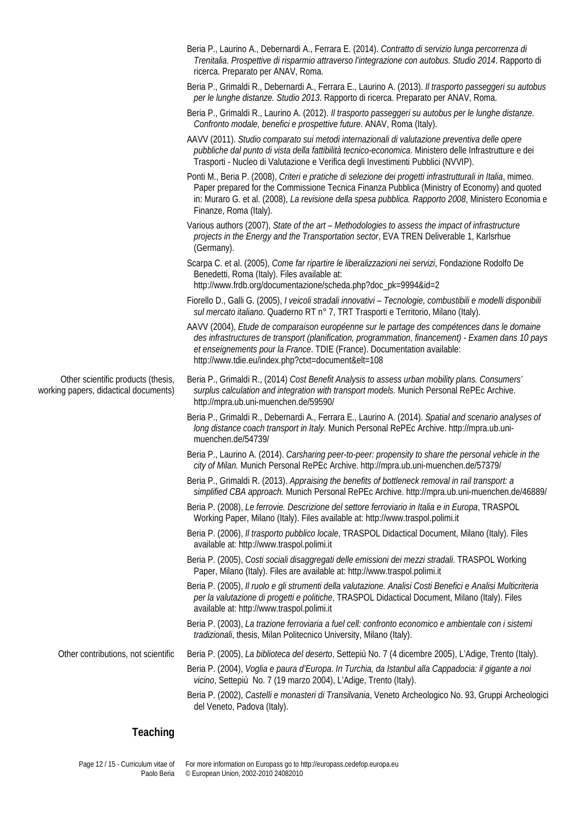|                                                                             | Beria P., Laurino A., Debernardi A., Ferrara E. (2014). Contratto di servizio lunga percorrenza di<br>Trenitalia. Prospettive di risparmio attraverso l'integrazione con autobus. Studio 2014. Rapporto di<br>ricerca. Preparato per ANAV, Roma.                                                                                            |
|-----------------------------------------------------------------------------|---------------------------------------------------------------------------------------------------------------------------------------------------------------------------------------------------------------------------------------------------------------------------------------------------------------------------------------------|
|                                                                             | Beria P., Grimaldi R., Debernardi A., Ferrara E., Laurino A. (2013). Il trasporto passeggeri su autobus<br>per le lunghe distanze. Studio 2013. Rapporto di ricerca. Preparato per ANAV, Roma.                                                                                                                                              |
|                                                                             | Beria P., Grimaldi R., Laurino A. (2012). Il trasporto passeggeri su autobus per le lunghe distanze.<br>Confronto modale, benefici e prospettive future. ANAV, Roma (Italy).                                                                                                                                                                |
|                                                                             | AAVV (2011). Studio comparato sui metodi internazionali di valutazione preventiva delle opere<br>pubbliche dal punto di vista della fattibilità tecnico-economica. Ministero delle Infrastrutture e dei<br>Trasporti - Nucleo di Valutazione e Verifica degli Investimenti Pubblici (NVVIP).                                                |
|                                                                             | Ponti M., Beria P. (2008), Criteri e pratiche di selezione dei progetti infrastrutturali in Italia, mimeo.<br>Paper prepared for the Commissione Tecnica Finanza Pubblica (Ministry of Economy) and quoted<br>in: Muraro G. et al. (2008), La revisione della spesa pubblica. Rapporto 2008, Ministero Economia e<br>Finanze, Roma (Italy). |
|                                                                             | Various authors (2007), State of the art - Methodologies to assess the impact of infrastructure<br>projects in the Energy and the Transportation sector, EVA TREN Deliverable 1, Karlsrhue<br>(Germany).                                                                                                                                    |
|                                                                             | Scarpa C. et al. (2005), Come far ripartire le liberalizzazioni nei servizi, Fondazione Rodolfo De<br>Benedetti, Roma (Italy). Files available at:<br>http://www.frdb.org/documentazione/scheda.php?doc_pk=9994&id=2                                                                                                                        |
|                                                                             | Fiorello D., Galli G. (2005), I veicoli stradali innovativi - Tecnologie, combustibili e modelli disponibili<br>sul mercato italiano. Quaderno RT n° 7, TRT Trasporti e Territorio, Milano (Italy).                                                                                                                                         |
|                                                                             | AAVV (2004), Etude de comparaison européenne sur le partage des compétences dans le domaine<br>des infrastructures de transport (planification, programmation, financement) - Examen dans 10 pays<br>et enseignements pour la France. TDIE (France). Documentation available:<br>http://www.tdie.eu/index.php?ctxt=document&elt=108         |
| Other scientific products (thesis,<br>working papers, didactical documents) | Beria P., Grimaldi R., (2014) Cost Benefit Analysis to assess urban mobility plans. Consumers'<br>surplus calculation and integration with transport models. Munich Personal RePEc Archive.<br>http://mpra.ub.uni-muenchen.de/59590/                                                                                                        |
|                                                                             | Beria P., Grimaldi R., Debernardi A., Ferrara E., Laurino A. (2014). Spatial and scenario analyses of<br>long distance coach transport in Italy. Munich Personal RePEc Archive. http://mpra.ub.uni-<br>muenchen.de/54739/                                                                                                                   |
|                                                                             | Beria P., Laurino A. (2014). Carsharing peer-to-peer: propensity to share the personal vehicle in the<br>city of Milan. Munich Personal RePEc Archive. http://mpra.ub.uni-muenchen.de/57379/                                                                                                                                                |
|                                                                             | Beria P., Grimaldi R. (2013). Appraising the benefits of bottleneck removal in rail transport: a<br>simplified CBA approach. Munich Personal RePEc Archive. http://mpra.ub.uni-muenchen.de/46889/                                                                                                                                           |
|                                                                             | Beria P. (2008), Le ferrovie. Descrizione del settore ferroviario in Italia e in Europa, TRASPOL<br>Working Paper, Milano (Italy). Files available at: http://www.traspol.polimi.it                                                                                                                                                         |
|                                                                             | Beria P. (2006), Il trasporto pubblico locale, TRASPOL Didactical Document, Milano (Italy). Files<br>available at: http://www.traspol.polimi.it                                                                                                                                                                                             |
|                                                                             | Beria P. (2005), Costi sociali disaggregati delle emissioni dei mezzi stradali. TRASPOL Working<br>Paper, Milano (Italy). Files are available at: http://www.traspol.polimi.it                                                                                                                                                              |
|                                                                             | Beria P. (2005), Il ruolo e gli strumenti della valutazione. Analisi Costi Benefici e Analisi Multicriteria<br>per la valutazione di progetti e politiche, TRASPOL Didactical Document, Milano (Italy). Files<br>available at: http://www.traspol.polimi.it                                                                                 |
|                                                                             | Beria P. (2003), La trazione ferroviaria a fuel cell: confronto economico e ambientale con i sistemi<br>tradizionali, thesis, Milan Politecnico University, Milano (Italy).                                                                                                                                                                 |
| Other contributions, not scientific                                         | Beria P. (2005), La biblioteca del deserto, Settepiù No. 7 (4 dicembre 2005), L'Adige, Trento (Italy).                                                                                                                                                                                                                                      |
|                                                                             | Beria P. (2004), Voglia e paura d'Europa. In Turchia, da Istanbul alla Cappadocia: il gigante a noi<br>vicino, Settepiù No. 7 (19 marzo 2004), L'Adige, Trento (Italy).                                                                                                                                                                     |
|                                                                             | Beria P. (2002), Castelli e monasteri di Transilvania, Veneto Archeologico No. 93, Gruppi Archeologici<br>del Veneto, Padova (Italy).                                                                                                                                                                                                       |
|                                                                             |                                                                                                                                                                                                                                                                                                                                             |

# **Teaching**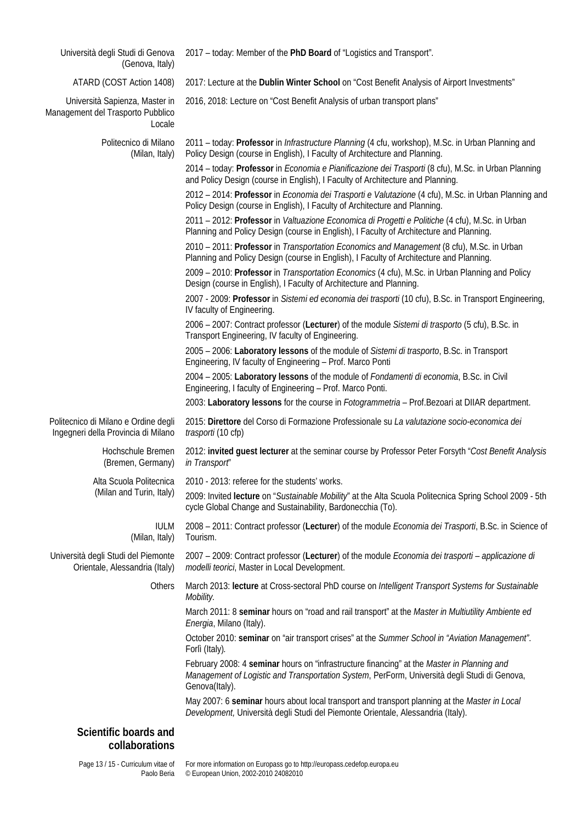| Università degli Studi di Genova<br>(Genova, Italy)                           | 2017 - today: Member of the PhD Board of "Logistics and Transport".                                                                                                                                                    |
|-------------------------------------------------------------------------------|------------------------------------------------------------------------------------------------------------------------------------------------------------------------------------------------------------------------|
| ATARD (COST Action 1408)                                                      | 2017: Lecture at the Dublin Winter School on "Cost Benefit Analysis of Airport Investments"                                                                                                                            |
| Università Sapienza, Master in<br>Management del Trasporto Pubblico<br>Locale | 2016, 2018: Lecture on "Cost Benefit Analysis of urban transport plans"                                                                                                                                                |
| Politecnico di Milano<br>(Milan, Italy)                                       | 2011 - today: Professor in Infrastructure Planning (4 cfu, workshop), M.Sc. in Urban Planning and<br>Policy Design (course in English), I Faculty of Architecture and Planning.                                        |
|                                                                               | 2014 - today: Professor in Economia e Pianificazione dei Trasporti (8 cfu), M.Sc. in Urban Planning<br>and Policy Design (course in English), I Faculty of Architecture and Planning.                                  |
|                                                                               | 2012 - 2014: Professor in Economia dei Trasporti e Valutazione (4 cfu), M.Sc. in Urban Planning and<br>Policy Design (course in English), I Faculty of Architecture and Planning.                                      |
|                                                                               | 2011 - 2012: Professor in Valtuazione Economica di Progetti e Politiche (4 cfu), M.Sc. in Urban<br>Planning and Policy Design (course in English), I Faculty of Architecture and Planning.                             |
|                                                                               | 2010 - 2011: Professor in Transportation Economics and Management (8 cfu), M.Sc. in Urban<br>Planning and Policy Design (course in English), I Faculty of Architecture and Planning.                                   |
|                                                                               | 2009 - 2010: Professor in Transportation Economics (4 cfu), M.Sc. in Urban Planning and Policy<br>Design (course in English), I Faculty of Architecture and Planning.                                                  |
|                                                                               | 2007 - 2009: Professor in Sistemi ed economia dei trasporti (10 cfu), B.Sc. in Transport Engineering,<br>IV faculty of Engineering.                                                                                    |
|                                                                               | 2006 - 2007: Contract professor (Lecturer) of the module Sistemi di trasporto (5 cfu), B.Sc. in<br>Transport Engineering, IV faculty of Engineering.                                                                   |
|                                                                               | 2005 - 2006: Laboratory lessons of the module of Sistemi di trasporto, B.Sc. in Transport<br>Engineering, IV faculty of Engineering - Prof. Marco Ponti                                                                |
|                                                                               | 2004 - 2005: Laboratory lessons of the module of Fondamenti di economia, B.Sc. in Civil<br>Engineering, I faculty of Engineering - Prof. Marco Ponti.                                                                  |
|                                                                               | 2003: Laboratory lessons for the course in Fotogrammetria - Prof. Bezoari at DIIAR department.                                                                                                                         |
| Politecnico di Milano e Ordine degli<br>Ingegneri della Provincia di Milano   | 2015: Direttore del Corso di Formazione Professionale su La valutazione socio-economica dei<br>trasporti (10 cfp)                                                                                                      |
| Hochschule Bremen<br>(Bremen, Germany)                                        | 2012: invited guest lecturer at the seminar course by Professor Peter Forsyth "Cost Benefit Analysis<br>in Transport"                                                                                                  |
| Alta Scuola Politecnica<br>(Milan and Turin, Italy)                           | 2010 - 2013: referee for the students' works.<br>2009: Invited lecture on "Sustainable Mobility" at the Alta Scuola Politecnica Spring School 2009 - 5th<br>cycle Global Change and Sustainability, Bardonecchia (To). |
| <b>IULM</b><br>(Milan, Italy)                                                 | 2008 - 2011: Contract professor (Lecturer) of the module Economia dei Trasporti, B.Sc. in Science of<br>Tourism.                                                                                                       |
| Università degli Studi del Piemonte<br>Orientale, Alessandria (Italy)         | 2007 - 2009: Contract professor (Lecturer) of the module Economia dei trasporti - applicazione di<br>modelli teorici, Master in Local Development.                                                                     |
| Others                                                                        | March 2013: lecture at Cross-sectoral PhD course on Intelligent Transport Systems for Sustainable<br>Mobility.                                                                                                         |
|                                                                               | March 2011: 8 seminar hours on "road and rail transport" at the Master in Multiutility Ambiente ed<br>Energia, Milano (Italy).                                                                                         |
|                                                                               | October 2010: seminar on "air transport crises" at the Summer School in "Aviation Management".<br>Forlì (Italy).                                                                                                       |
|                                                                               | February 2008: 4 seminar hours on "infrastructure financing" at the Master in Planning and<br>Management of Logistic and Transportation System, PerForm, Università degli Studi di Genova,<br>Genova(Italy).           |
|                                                                               | May 2007: 6 seminar hours about local transport and transport planning at the Master in Local<br>Development, Università degli Studi del Piemonte Orientale, Alessandria (Italy).                                      |
| Scientific boards and<br>collaborations                                       |                                                                                                                                                                                                                        |

Page 13 / 15 - Curriculum vitae of Paolo Beria For more information on Europass go to http://europass.cedefop.europa.eu © European Union, 2002-2010 24082010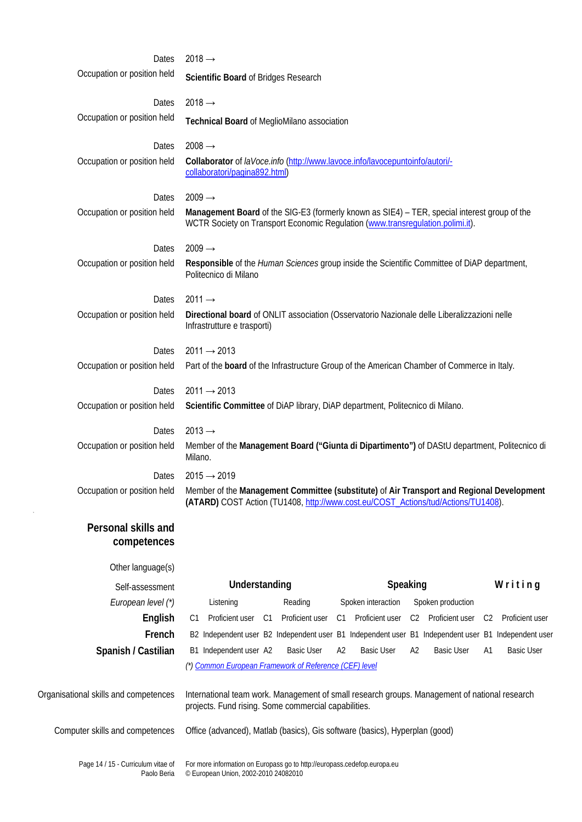| Dates                                             | $2018 \rightarrow$                                                                                                                                                                                         |
|---------------------------------------------------|------------------------------------------------------------------------------------------------------------------------------------------------------------------------------------------------------------|
| Occupation or position held                       | Scientific Board of Bridges Research                                                                                                                                                                       |
| Dates                                             | $2018 \rightarrow$                                                                                                                                                                                         |
| Occupation or position held                       | Technical Board of MeglioMilano association                                                                                                                                                                |
| Dates                                             | $2008 \rightarrow$                                                                                                                                                                                         |
| Occupation or position held                       | Collaborator of laVoce.info (http://www.lavoce.info/lavocepuntoinfo/autori/-<br>collaboratori/pagina892.html)                                                                                              |
| Dates                                             | $2009 \rightarrow$                                                                                                                                                                                         |
| Occupation or position held                       | Management Board of the SIG-E3 (formerly known as SIE4) - TER, special interest group of the<br>WCTR Society on Transport Economic Regulation (www.transregulation.polimi.it).                             |
| Dates                                             | $2009 \rightarrow$                                                                                                                                                                                         |
| Occupation or position held                       | Responsible of the Human Sciences group inside the Scientific Committee of DiAP department,<br>Politecnico di Milano                                                                                       |
| Dates                                             | $2011 \rightarrow$                                                                                                                                                                                         |
| Occupation or position held                       | Directional board of ONLIT association (Osservatorio Nazionale delle Liberalizzazioni nelle<br>Infrastrutture e trasporti)                                                                                 |
| Dates                                             | $2011 \rightarrow 2013$                                                                                                                                                                                    |
| Occupation or position held                       | Part of the board of the Infrastructure Group of the American Chamber of Commerce in Italy.                                                                                                                |
| Dates                                             | $2011 \rightarrow 2013$                                                                                                                                                                                    |
| Occupation or position held                       | Scientific Committee of DiAP library, DiAP department, Politecnico di Milano.                                                                                                                              |
| Dates                                             | $2013 \rightarrow$                                                                                                                                                                                         |
| Occupation or position held                       | Member of the Management Board ("Giunta di Dipartimento") of DAStU department, Politecnico di<br>Milano.                                                                                                   |
| Dates                                             | $2015 \rightarrow 2019$                                                                                                                                                                                    |
|                                                   | Occupation or position held Member of the Management Committee (substitute) of Air Transport and Regional Development<br>(ATARD) COST Action (TU1408, http://www.cost.eu/COST_Actions/tud/Actions/TU1408). |
| Personal skills and<br>competences                |                                                                                                                                                                                                            |
| Other language(s)                                 |                                                                                                                                                                                                            |
| Self-assessment                                   | Speaking<br>Writing<br>Understanding                                                                                                                                                                       |
| European level (*)                                | Spoken production<br>Reading<br>Spoken interaction<br>Listening                                                                                                                                            |
| English                                           | Proficient user<br>C1 Proficient user<br>C2 Proficient user<br>Proficient user<br>Proficient user C1<br>C2<br>C1                                                                                           |
| French                                            | B2 Independent user B2 Independent user B1 Independent user B1 Independent user B1 Independent user                                                                                                        |
| Spanish / Castilian                               | B1 Independent user A2<br><b>Basic User</b><br>A2<br><b>Basic User</b><br>A2<br><b>Basic User</b><br><b>Basic User</b><br>A1                                                                               |
|                                                   | (*) Common European Framework of Reference (CEF) level                                                                                                                                                     |
| Organisational skills and competences             | International team work. Management of small research groups. Management of national research<br>projects. Fund rising. Some commercial capabilities.                                                      |
| Computer skills and competences                   | Office (advanced), Matlab (basics), Gis software (basics), Hyperplan (good)                                                                                                                                |
| Page 14 / 15 - Curriculum vitae of<br>Paolo Beria | For more information on Europass go to http://europass.cedefop.europa.eu<br>© European Union, 2002-2010 24082010                                                                                           |

 $\mathbf{v}$